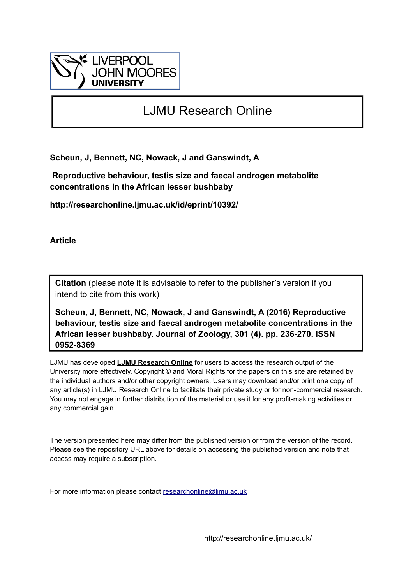

# LJMU Research Online

**Scheun, J, Bennett, NC, Nowack, J and Ganswindt, A**

 **Reproductive behaviour, testis size and faecal androgen metabolite concentrations in the African lesser bushbaby**

**http://researchonline.ljmu.ac.uk/id/eprint/10392/**

**Article**

**Citation** (please note it is advisable to refer to the publisher's version if you intend to cite from this work)

**Scheun, J, Bennett, NC, Nowack, J and Ganswindt, A (2016) Reproductive behaviour, testis size and faecal androgen metabolite concentrations in the African lesser bushbaby. Journal of Zoology, 301 (4). pp. 236-270. ISSN 0952-8369** 

LJMU has developed **[LJMU Research Online](http://researchonline.ljmu.ac.uk/)** for users to access the research output of the University more effectively. Copyright © and Moral Rights for the papers on this site are retained by the individual authors and/or other copyright owners. Users may download and/or print one copy of any article(s) in LJMU Research Online to facilitate their private study or for non-commercial research. You may not engage in further distribution of the material or use it for any profit-making activities or any commercial gain.

The version presented here may differ from the published version or from the version of the record. Please see the repository URL above for details on accessing the published version and note that access may require a subscription.

For more information please contact [researchonline@ljmu.ac.uk](mailto:researchonline@ljmu.ac.uk)

http://researchonline.ljmu.ac.uk/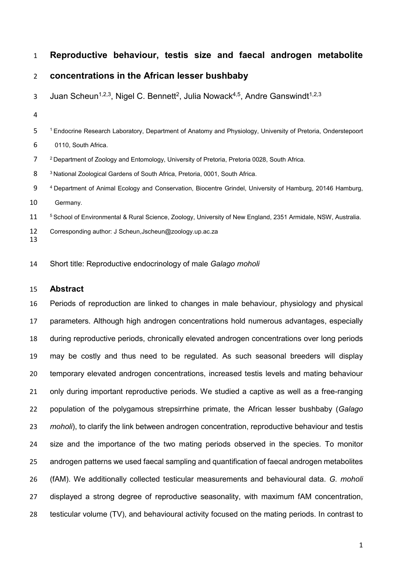# **Reproductive behaviour, testis size and faecal androgen metabolite**

# **concentrations in the African lesser bushbaby**

- 3 Juan Scheun<sup>1,2,3</sup>, Nigel C. Bennett<sup>2</sup>, Julia Nowack<sup>4,5</sup>, Andre Ganswindt<sup>1,2,3</sup>
- 

1 Endocrine Research Laboratory, Department of Anatomy and Physiology, University of Pretoria, Onderstepoort

0110, South Africa.

- 7 <sup>2</sup> Department of Zoology and Entomology, University of Pretoria, Pretoria 0028, South Africa.
- 8 <sup>3</sup> National Zoological Gardens of South Africa, Pretoria, 0001, South Africa.
- 9 4 Department of Animal Ecology and Conservation, Biocentre Grindel, University of Hamburg, 20146 Hamburg, Germany.
- 5 School of Environmental & Rural Science, Zoology, University of New England, 2351 Armidale, NSW, Australia.
- Corresponding author: J Scheun,Jscheun@zoology.up.ac.za
- Short title: Reproductive endocrinology of male *Galago moholi*

#### **Abstract**

 Periods of reproduction are linked to changes in male behaviour, physiology and physical parameters. Although high androgen concentrations hold numerous advantages, especially during reproductive periods, chronically elevated androgen concentrations over long periods may be costly and thus need to be regulated. As such seasonal breeders will display temporary elevated androgen concentrations, increased testis levels and mating behaviour 21 only during important reproductive periods. We studied a captive as well as a free-ranging population of the polygamous strepsirrhine primate, the African lesser bushbaby (*Galago moholi*), to clarify the link between androgen concentration, reproductive behaviour and testis size and the importance of the two mating periods observed in the species. To monitor androgen patterns we used faecal sampling and quantification of faecal androgen metabolites (fAM). We additionally collected testicular measurements and behavioural data. *G. moholi*  displayed a strong degree of reproductive seasonality, with maximum fAM concentration, testicular volume (TV), and behavioural activity focused on the mating periods. In contrast to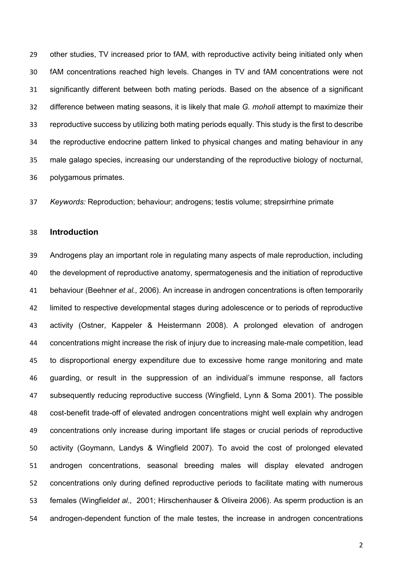other studies, TV increased prior to fAM, with reproductive activity being initiated only when fAM concentrations reached high levels. Changes in TV and fAM concentrations were not significantly different between both mating periods. Based on the absence of a significant difference between mating seasons, it is likely that male *G. moholi* attempt to maximize their reproductive success by utilizing both mating periods equally. This study is the first to describe the reproductive endocrine pattern linked to physical changes and mating behaviour in any male galago species, increasing our understanding of the reproductive biology of nocturnal, polygamous primates.

*Keywords:* Reproduction; behaviour; androgens; testis volume; strepsirrhine primate

# **Introduction**

 Androgens play an important role in regulating many aspects of male reproduction, including the development of reproductive anatomy, spermatogenesis and the initiation of reproductive behaviour (Beehner *et al.,* 2006). An increase in androgen concentrations is often temporarily limited to respective developmental stages during adolescence or to periods of reproductive activity (Ostner, Kappeler & Heistermann 2008). A prolonged elevation of androgen concentrations might increase the risk of injury due to increasing male-male competition, lead to disproportional energy expenditure due to excessive home range monitoring and mate guarding, or result in the suppression of an individual's immune response, all factors subsequently reducing reproductive success (Wingfield, Lynn & Soma 2001). The possible cost-benefit trade-off of elevated androgen concentrations might well explain why androgen concentrations only increase during important life stages or crucial periods of reproductive activity (Goymann, Landys & Wingfield 2007). To avoid the cost of prolonged elevated androgen concentrations, seasonal breeding males will display elevated androgen concentrations only during defined reproductive periods to facilitate mating with numerous females (Wingfield*et al.,* 2001; Hirschenhauser & Oliveira 2006). As sperm production is an androgen-dependent function of the male testes, the increase in androgen concentrations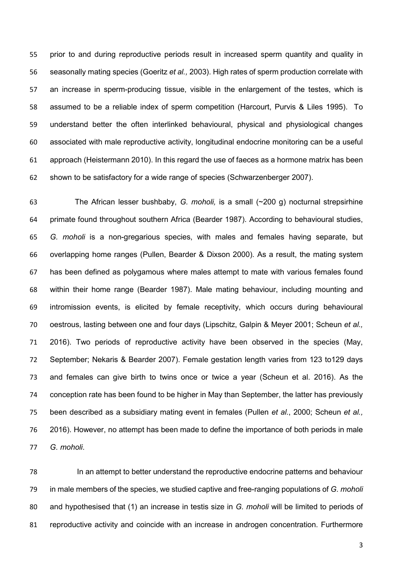prior to and during reproductive periods result in increased sperm quantity and quality in seasonally mating species (Goeritz *et al.,* 2003). High rates of sperm production correlate with an increase in sperm-producing tissue, visible in the enlargement of the testes, which is assumed to be a reliable index of sperm competition (Harcourt, Purvis & Liles 1995). To understand better the often interlinked behavioural, physical and physiological changes associated with male reproductive activity, longitudinal endocrine monitoring can be a useful approach (Heistermann 2010). In this regard the use of faeces as a hormone matrix has been shown to be satisfactory for a wide range of species (Schwarzenberger 2007).

 The African lesser bushbaby, *G. moholi,* is a small (~200 g) nocturnal strepsirhine primate found throughout southern Africa (Bearder 1987). According to behavioural studies, *G. moholi* is a non-gregarious species, with males and females having separate, but overlapping home ranges (Pullen, Bearder & Dixson 2000). As a result, the mating system has been defined as polygamous where males attempt to mate with various females found within their home range (Bearder 1987). Male mating behaviour, including mounting and intromission events, is elicited by female receptivity, which occurs during behavioural oestrous, lasting between one and four days (Lipschitz, Galpin & Meyer 2001; Scheun *et al.,* 2016). Two periods of reproductive activity have been observed in the species (May, September; Nekaris & Bearder 2007). Female gestation length varies from 123 to129 days and females can give birth to twins once or twice a year (Scheun et al. 2016). As the conception rate has been found to be higher in May than September, the latter has previously been described as a subsidiary mating event in females (Pullen *et al*., 2000; Scheun *et al.,* 2016). However, no attempt has been made to define the importance of both periods in male *G. moholi*.

 In an attempt to better understand the reproductive endocrine patterns and behaviour in male members of the species, we studied captive and free-ranging populations of *G. moholi* and hypothesised that (1) an increase in testis size in *G. moholi* will be limited to periods of reproductive activity and coincide with an increase in androgen concentration. Furthermore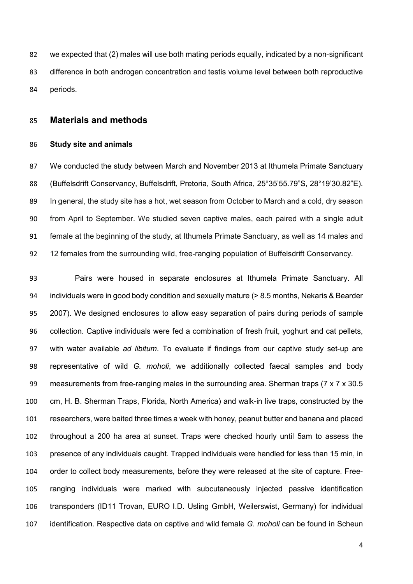we expected that (2) males will use both mating periods equally, indicated by a non-significant difference in both androgen concentration and testis volume level between both reproductive periods.

# **Materials and methods**

#### **Study site and animals**

 We conducted the study between March and November 2013 at Ithumela Primate Sanctuary (Buffelsdrift Conservancy, Buffelsdrift, Pretoria, South Africa, 25°35'55.79"S, 28°19'30.82"E). In general, the study site has a hot, wet season from October to March and a cold, dry season from April to September. We studied seven captive males, each paired with a single adult female at the beginning of the study, at Ithumela Primate Sanctuary, as well as 14 males and 12 females from the surrounding wild, free-ranging population of Buffelsdrift Conservancy.

 Pairs were housed in separate enclosures at Ithumela Primate Sanctuary. All individuals were in good body condition and sexually mature (> 8.5 months, Nekaris & Bearder 2007). We designed enclosures to allow easy separation of pairs during periods of sample collection. Captive individuals were fed a combination of fresh fruit, yoghurt and cat pellets, with water available *ad libitum*. To evaluate if findings from our captive study set-up are representative of wild *G. moholi*, we additionally collected faecal samples and body measurements from free-ranging males in the surrounding area. Sherman traps (7 x 7 x 30.5 cm, H. B. Sherman Traps, Florida, North America) and walk-in live traps, constructed by the researchers, were baited three times a week with honey, peanut butter and banana and placed throughout a 200 ha area at sunset. Traps were checked hourly until 5am to assess the presence of any individuals caught. Trapped individuals were handled for less than 15 min, in order to collect body measurements, before they were released at the site of capture. Free- ranging individuals were marked with subcutaneously injected passive identification transponders (ID11 Trovan, EURO I.D. Usling GmbH, Weilerswist, Germany) for individual identification. Respective data on captive and wild female *G. moholi* can be found in Scheun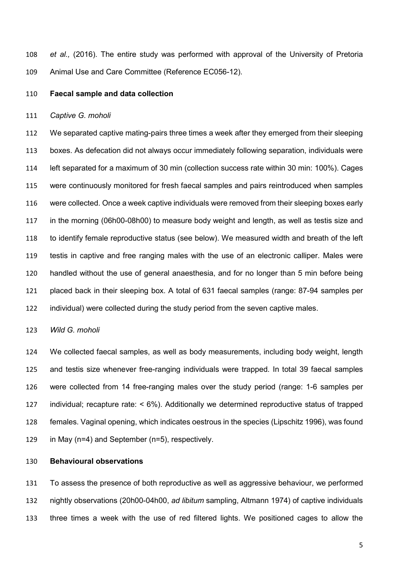*et al.,* (2016). The entire study was performed with approval of the University of Pretoria Animal Use and Care Committee (Reference EC056-12).

#### **Faecal sample and data collection**

#### *Captive G. moholi*

 We separated captive mating-pairs three times a week after they emerged from their sleeping boxes. As defecation did not always occur immediately following separation, individuals were left separated for a maximum of 30 min (collection success rate within 30 min: 100%). Cages were continuously monitored for fresh faecal samples and pairs reintroduced when samples were collected. Once a week captive individuals were removed from their sleeping boxes early in the morning (06h00-08h00) to measure body weight and length, as well as testis size and to identify female reproductive status (see below). We measured width and breath of the left testis in captive and free ranging males with the use of an electronic calliper. Males were handled without the use of general anaesthesia, and for no longer than 5 min before being placed back in their sleeping box. A total of 631 faecal samples (range: 87-94 samples per individual) were collected during the study period from the seven captive males.

*Wild G. moholi*

 We collected faecal samples, as well as body measurements, including body weight, length and testis size whenever free-ranging individuals were trapped. In total 39 faecal samples were collected from 14 free-ranging males over the study period (range: 1-6 samples per individual; recapture rate: < 6%). Additionally we determined reproductive status of trapped females. Vaginal opening, which indicates oestrous in the species (Lipschitz 1996), was found in May (n=4) and September (n=5), respectively.

## **Behavioural observations**

 To assess the presence of both reproductive as well as aggressive behaviour, we performed nightly observations (20h00-04h00, *ad libitum* sampling, Altmann 1974) of captive individuals three times a week with the use of red filtered lights. We positioned cages to allow the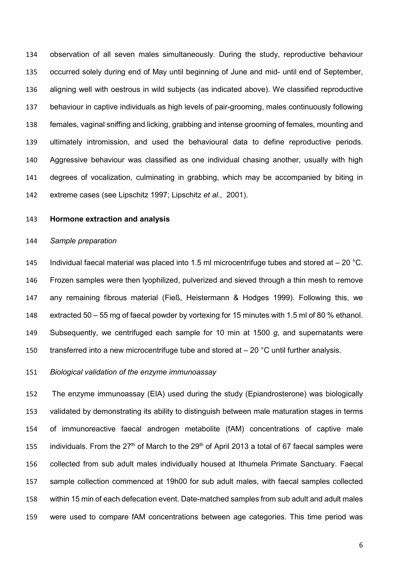observation of all seven males simultaneously. During the study, reproductive behaviour occurred solely during end of May until beginning of June and mid- until end of September, aligning well with oestrous in wild subjects (as indicated above). We classified reproductive behaviour in captive individuals as high levels of pair-grooming, males continuously following females, vaginal sniffing and licking, grabbing and intense grooming of females, mounting and ultimately intromission, and used the behavioural data to define reproductive periods. Aggressive behaviour was classified as one individual chasing another, usually with high degrees of vocalization, culminating in grabbing, which may be accompanied by biting in extreme cases (see Lipschitz 1997; Lipschitz *et al.,* 2001).

#### **Hormone extraction and analysis**

## *Sample preparation*

145 Individual faecal material was placed into 1.5 ml microcentrifuge tubes and stored at  $-$  20 °C. Frozen samples were then lyophilized, pulverized and sieved through a thin mesh to remove any remaining fibrous material (Fieß, Heistermann & Hodges 1999). Following this, we extracted 50 – 55 mg of faecal powder by vortexing for 15 minutes with 1.5 ml of 80 % ethanol. Subsequently, we centrifuged each sample for 10 min at 1500 *g*, and supernatants were 150 transferred into a new microcentrifuge tube and stored at  $-20$  °C until further analysis.

#### *Biological validation of the enzyme immunoassay*

 The enzyme immunoassay (EIA) used during the study (Epiandrosterone) was biologically validated by demonstrating its ability to distinguish between male maturation stages in terms of immunoreactive faecal androgen metabolite (fAM) concentrations of captive male 155 individuals. From the 27<sup>th</sup> of March to the 29<sup>th</sup> of April 2013 a total of 67 faecal samples were collected from sub adult males individually housed at Ithumela Primate Sanctuary. Faecal sample collection commenced at 19h00 for sub adult males, with faecal samples collected within 15 min of each defecation event. Date-matched samples from sub adult and adult males were used to compare fAM concentrations between age categories. This time period was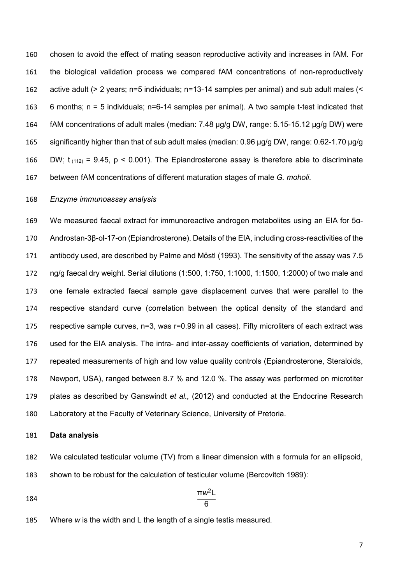chosen to avoid the effect of mating season reproductive activity and increases in fAM. For the biological validation process we compared fAM concentrations of non-reproductively active adult (> 2 years; n=5 individuals; n=13-14 samples per animal) and sub adult males (< 6 months; n = 5 individuals; n=6-14 samples per animal). A two sample t-test indicated that fAM concentrations of adult males (median: 7.48 µg/g DW, range: 5.15-15.12 µg/g DW) were significantly higher than that of sub adult males (median: 0.96 µg/g DW, range: 0.62-1.70 µg/g 166 DW;  $t_{(112)} = 9.45$ , p < 0.001). The Epiandrosterone assay is therefore able to discriminate between fAM concentrations of different maturation stages of male *G. moholi*.

# *Enzyme immunoassay analysis*

 We measured faecal extract for immunoreactive androgen metabolites using an EIA for 5α- Androstan-3β-ol-17-on (Epiandrosterone). Details of the EIA, including cross-reactivities of the antibody used, are described by Palme and Möstl (1993). The sensitivity of the assay was 7.5 ng/g faecal dry weight. Serial dilutions (1:500, 1:750, 1:1000, 1:1500, 1:2000) of two male and one female extracted faecal sample gave displacement curves that were parallel to the respective standard curve (correlation between the optical density of the standard and respective sample curves, n=3, was r=0.99 in all cases). Fifty microliters of each extract was used for the EIA analysis. The intra- and inter-assay coefficients of variation, determined by repeated measurements of high and low value quality controls (Epiandrosterone, Steraloids, Newport, USA), ranged between 8.7 % and 12.0 %. The assay was performed on microtiter plates as described by Ganswindt *et al.,* (2012) and conducted at the Endocrine Research Laboratory at the Faculty of Veterinary Science, University of Pretoria.

#### **Data analysis**

- We calculated testicular volume (TV) from a linear dimension with a formula for an ellipsoid, shown to be robust for the calculation of testicular volume (Bercovitch 1989):
- $rac{\pi w^2L}{6}$  $\frac{184}{6}$
- Where *w* is the width and L the length of a single testis measured.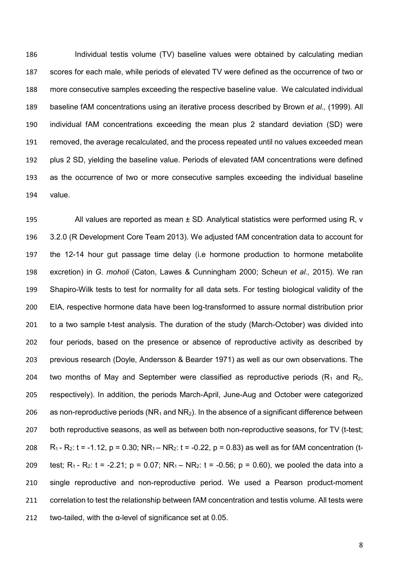Individual testis volume (TV) baseline values were obtained by calculating median scores for each male, while periods of elevated TV were defined as the occurrence of two or more consecutive samples exceeding the respective baseline value. We calculated individual baseline fAM concentrations using an iterative process described by Brown *et al.,* (1999). All individual fAM concentrations exceeding the mean plus 2 standard deviation (SD) were removed, the average recalculated, and the process repeated until no values exceeded mean plus 2 SD, yielding the baseline value. Periods of elevated fAM concentrations were defined as the occurrence of two or more consecutive samples exceeding the individual baseline value.

 All values are reported as mean ± SD. Analytical statistics were performed using R, v 3.2.0 (R Development Core Team 2013). We adjusted fAM concentration data to account for the 12-14 hour gut passage time delay (i.e hormone production to hormone metabolite excretion) in *G. moholi* (Caton, Lawes & Cunningham 2000; Scheun *et al.,* 2015). We ran Shapiro-Wilk tests to test for normality for all data sets. For testing biological validity of the EIA, respective hormone data have been log-transformed to assure normal distribution prior to a two sample t-test analysis. The duration of the study (March-October) was divided into four periods, based on the presence or absence of reproductive activity as described by previous research (Doyle, Andersson & Bearder 1971) as well as our own observations. The 204 two months of May and September were classified as reproductive periods ( $R_1$  and  $R_2$ , respectively). In addition, the periods March-April, June-Aug and October were categorized 206 as non-reproductive periods (NR<sub>1</sub> and NR<sub>2</sub>). In the absence of a significant difference between both reproductive seasons, as well as between both non-reproductive seasons, for TV (t-test; 208 R<sub>1</sub> - R<sub>2</sub>: t = -1.12, p = 0.30; NR<sub>1</sub> – NR<sub>2</sub>: t = -0.22, p = 0.83) as well as for fAM concentration (t-209 test; R<sub>1</sub> - R<sub>2</sub>: t = -2.21; p = 0.07; NR<sub>1</sub> – NR<sub>2</sub>: t = -0.56; p = 0.60), we pooled the data into a single reproductive and non-reproductive period. We used a Pearson product-moment correlation to test the relationship between fAM concentration and testis volume. All tests were 212 two-tailed, with the  $\alpha$ -level of significance set at 0.05.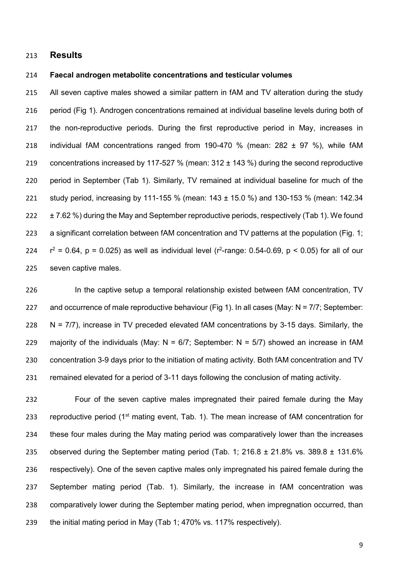# **Results**

#### **Faecal androgen metabolite concentrations and testicular volumes**

 All seven captive males showed a similar pattern in fAM and TV alteration during the study period (Fig 1). Androgen concentrations remained at individual baseline levels during both of the non-reproductive periods. During the first reproductive period in May, increases in individual fAM concentrations ranged from 190-470 % (mean: 282 ± 97 %), while fAM 219 concentrations increased by 117-527 % (mean: 312 ± 143 %) during the second reproductive period in September (Tab 1). Similarly, TV remained at individual baseline for much of the study period, increasing by 111-155 % (mean: 143 ± 15.0 %) and 130-153 % (mean: 142.34 222 ± 7.62 %) during the May and September reproductive periods, respectively (Tab 1). We found 223 a significant correlation between fAM concentration and TV patterns at the population (Fig. 1;  $r^2 = 0.64$ , p = 0.025) as well as individual level (r<sup>2</sup>-range: 0.54-0.69, p < 0.05) for all of our seven captive males.

226 In the captive setup a temporal relationship existed between fAM concentration, TV 227 and occurrence of male reproductive behaviour (Fig 1). In all cases (May:  $N = 7/7$ ; September: 228  $N = 7/7$ ), increase in TV preceded elevated fAM concentrations by 3-15 days. Similarly, the 229 majority of the individuals (May:  $N = 6/7$ ; September:  $N = 5/7$ ) showed an increase in fAM concentration 3-9 days prior to the initiation of mating activity. Both fAM concentration and TV remained elevated for a period of 3-11 days following the conclusion of mating activity.

 Four of the seven captive males impregnated their paired female during the May 233 reproductive period ( $1<sup>st</sup>$  mating event, Tab. 1). The mean increase of fAM concentration for these four males during the May mating period was comparatively lower than the increases 235 observed during the September mating period (Tab. 1: 216.8  $\pm$  21.8% vs. 389.8  $\pm$  131.6% respectively). One of the seven captive males only impregnated his paired female during the September mating period (Tab. 1). Similarly, the increase in fAM concentration was comparatively lower during the September mating period, when impregnation occurred, than the initial mating period in May (Tab 1; 470% vs. 117% respectively).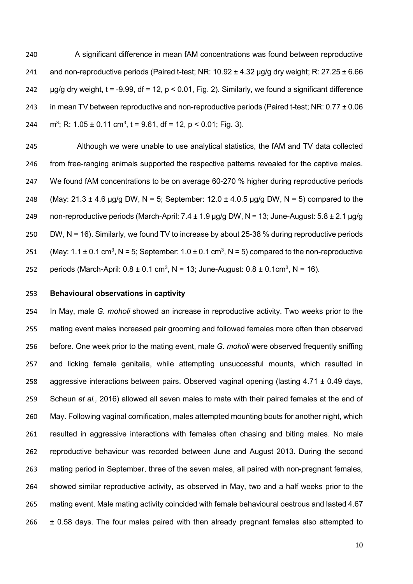A significant difference in mean fAM concentrations was found between reproductive 241 and non-reproductive periods (Paired t-test; NR:  $10.92 \pm 4.32$  µg/g dry weight; R:  $27.25 \pm 6.66$   $\mu$ g/g dry weight, t = -9.99, df = 12, p < 0.01, Fig. 2). Similarly, we found a significant difference 243 in mean TV between reproductive and non-reproductive periods (Paired t-test; NR:  $0.77 \pm 0.06$ 244 m<sup>3</sup>; R: 1.05 ± 0.11 cm<sup>3</sup>, t = 9.61, df = 12, p < 0.01; Fig. 3).

 Although we were unable to use analytical statistics, the fAM and TV data collected from free-ranging animals supported the respective patterns revealed for the captive males. 247 We found fAM concentrations to be on average 60-270 % higher during reproductive periods 248 (May:  $21.3 \pm 4.6$  µg/g DW, N = 5; September:  $12.0 \pm 4.0.5$  µg/g DW, N = 5) compared to the 249 non-reproductive periods (March-April:  $7.4 \pm 1.9$  µg/g DW, N = 13; June-August:  $5.8 \pm 2.1$  µg/g DW, N = 16). Similarly, we found TV to increase by about 25-38 % during reproductive periods 251 (May: 1.1  $\pm$  0.1 cm<sup>3</sup>, N = 5; September: 1.0  $\pm$  0.1 cm<sup>3</sup>, N = 5) compared to the non-reproductive 252 periods (March-April:  $0.8 \pm 0.1 \text{ cm}^3$ , N = 13; June-August:  $0.8 \pm 0.1 \text{ cm}^3$ , N = 16).

#### **Behavioural observations in captivity**

 In May, male *G. moholi* showed an increase in reproductive activity. Two weeks prior to the mating event males increased pair grooming and followed females more often than observed before. One week prior to the mating event, male *G. moholi* were observed frequently sniffing and licking female genitalia, while attempting unsuccessful mounts, which resulted in 258 aggressive interactions between pairs. Observed vaginal opening (lasting  $4.71 \pm 0.49$  days, Scheun *et al.,* 2016) allowed all seven males to mate with their paired females at the end of May. Following vaginal cornification, males attempted mounting bouts for another night, which resulted in aggressive interactions with females often chasing and biting males. No male reproductive behaviour was recorded between June and August 2013. During the second mating period in September, three of the seven males, all paired with non-pregnant females, showed similar reproductive activity, as observed in May, two and a half weeks prior to the mating event. Male mating activity coincided with female behavioural oestrous and lasted 4.67 ± 0.58 days. The four males paired with then already pregnant females also attempted to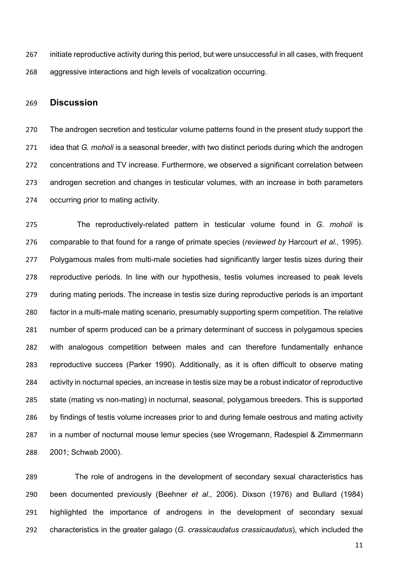initiate reproductive activity during this period, but were unsuccessful in all cases, with frequent aggressive interactions and high levels of vocalization occurring.

# **Discussion**

 The androgen secretion and testicular volume patterns found in the present study support the idea that *G. moholi* is a seasonal breeder, with two distinct periods during which the androgen concentrations and TV increase. Furthermore, we observed a significant correlation between androgen secretion and changes in testicular volumes, with an increase in both parameters occurring prior to mating activity.

 The reproductively-related pattern in testicular volume found in *G. moholi* is comparable to that found for a range of primate species (*reviewed by* Harcourt *et al.,* 1995). 277 Polygamous males from multi-male societies had significantly larger testis sizes during their reproductive periods. In line with our hypothesis, testis volumes increased to peak levels during mating periods. The increase in testis size during reproductive periods is an important factor in a multi-male mating scenario, presumably supporting sperm competition. The relative number of sperm produced can be a primary determinant of success in polygamous species with analogous competition between males and can therefore fundamentally enhance reproductive success (Parker 1990). Additionally, as it is often difficult to observe mating activity in nocturnal species, an increase in testis size may be a robust indicator of reproductive state (mating vs non-mating) in nocturnal, seasonal, polygamous breeders. This is supported by findings of testis volume increases prior to and during female oestrous and mating activity in a number of nocturnal mouse lemur species (see Wrogemann, Radespiel & Zimmermann 2001; Schwab 2000).

 The role of androgens in the development of secondary sexual characteristics has been documented previously (Beehner *et al.,* 2006). Dixson (1976) and Bullard (1984) highlighted the importance of androgens in the development of secondary sexual characteristics in the greater galago (*G. crassicaudatus crassicaudatus*), which included the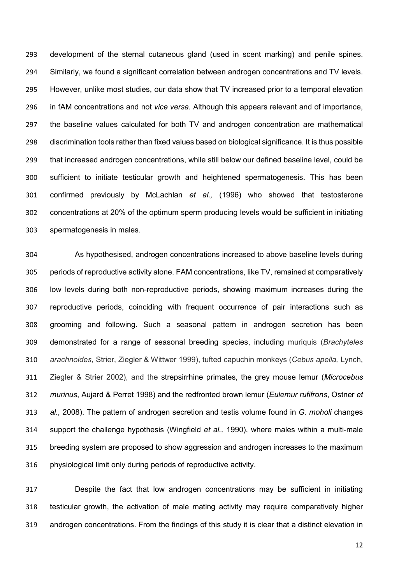development of the sternal cutaneous gland (used in scent marking) and penile spines. Similarly, we found a significant correlation between androgen concentrations and TV levels. However, unlike most studies, our data show that TV increased prior to a temporal elevation in fAM concentrations and not *vice versa.* Although this appears relevant and of importance, the baseline values calculated for both TV and androgen concentration are mathematical discrimination tools rather than fixed values based on biological significance. It is thus possible that increased androgen concentrations, while still below our defined baseline level, could be sufficient to initiate testicular growth and heightened spermatogenesis. This has been confirmed previously by McLachlan *et al.,* (1996) who showed that testosterone concentrations at 20% of the optimum sperm producing levels would be sufficient in initiating spermatogenesis in males.

 As hypothesised, androgen concentrations increased to above baseline levels during periods of reproductive activity alone. FAM concentrations, like TV, remained at comparatively low levels during both non-reproductive periods, showing maximum increases during the reproductive periods, coinciding with frequent occurrence of pair interactions such as grooming and following. Such a seasonal pattern in androgen secretion has been demonstrated for a range of seasonal breeding species, including muriquis (*Brachyteles arachnoides*, Strier, Ziegler & Wittwer 1999), tufted capuchin monkeys (*Cebus apella,* Lynch, Ziegler & Strier 2002), and the strepsirrhine primates, the grey mouse lemur (*Microcebus murinus*, Aujard & Perret 1998) and the redfronted brown lemur (*Eulemur rufifrons*, Ostner *et al.,* 2008). The pattern of androgen secretion and testis volume found in *G. moholi* changes support the challenge hypothesis (Wingfield *et al.,* 1990), where males within a multi-male breeding system are proposed to show aggression and androgen increases to the maximum physiological limit only during periods of reproductive activity.

 Despite the fact that low androgen concentrations may be sufficient in initiating testicular growth, the activation of male mating activity may require comparatively higher androgen concentrations. From the findings of this study it is clear that a distinct elevation in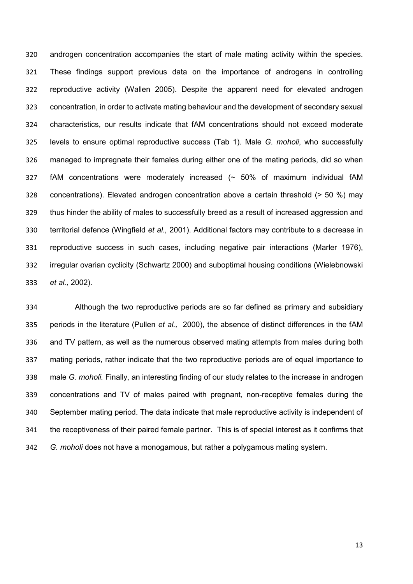androgen concentration accompanies the start of male mating activity within the species. These findings support previous data on the importance of androgens in controlling reproductive activity (Wallen 2005). Despite the apparent need for elevated androgen concentration, in order to activate mating behaviour and the development of secondary sexual characteristics, our results indicate that fAM concentrations should not exceed moderate levels to ensure optimal reproductive success (Tab 1). Male *G. moholi*, who successfully managed to impregnate their females during either one of the mating periods, did so when fAM concentrations were moderately increased (~ 50% of maximum individual fAM concentrations). Elevated androgen concentration above a certain threshold (> 50 %) may 329 thus hinder the ability of males to successfully breed as a result of increased aggression and territorial defence (Wingfield *et al.,* 2001). Additional factors may contribute to a decrease in reproductive success in such cases, including negative pair interactions (Marler 1976), irregular ovarian cyclicity (Schwartz 2000) and suboptimal housing conditions (Wielebnowski *et al.,* 2002).

 Although the two reproductive periods are so far defined as primary and subsidiary periods in the literature (Pullen *et al.,* 2000), the absence of distinct differences in the fAM and TV pattern, as well as the numerous observed mating attempts from males during both mating periods, rather indicate that the two reproductive periods are of equal importance to male *G. moholi.* Finally, an interesting finding of our study relates to the increase in androgen concentrations and TV of males paired with pregnant, non-receptive females during the September mating period. The data indicate that male reproductive activity is independent of the receptiveness of their paired female partner. This is of special interest as it confirms that *G. moholi* does not have a monogamous, but rather a polygamous mating system.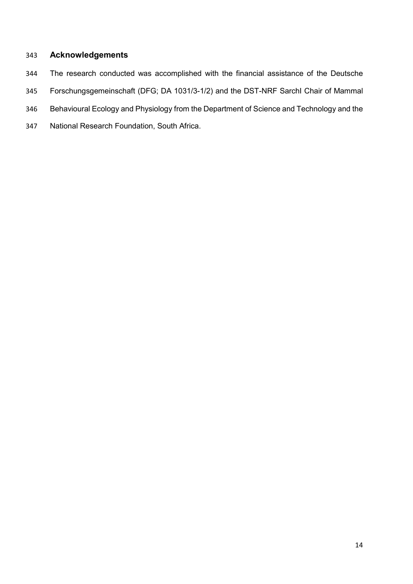# **Acknowledgements**

- The research conducted was accomplished with the financial assistance of the Deutsche
- Forschungsgemeinschaft (DFG; DA 1031/3-1/2) and the DST-NRF SarchI Chair of Mammal
- Behavioural Ecology and Physiology from the Department of Science and Technology and the
- National Research Foundation, South Africa.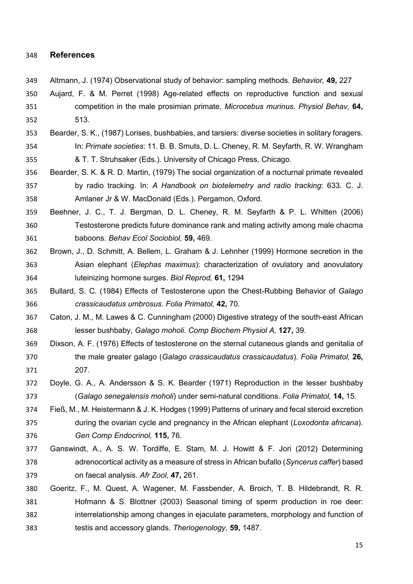## **References**

- Altmann, J. (1974) Observational study of behavior: sampling methods. *Behavior,* **49,** 227
- Aujard, F. & M. Perret (1998) Age-related effects on reproductive function and sexual competition in the male prosimian primate, *Microcebus murinus*. *Physiol Behav,* **64,** 513.
- Bearder, S. K., (1987) Lorises, bushbabies, and tarsiers: diverse societies in solitary foragers. In: *Primate societies*: 11*.* B. B. Smuts, D. L. Cheney, R. M. Seyfarth, R. W. Wrangham & T. T. Struhsaker (Eds.). University of Chicago Press, Chicago.
- Bearder, S. K. & R. D. Martin, (1979) The social organization of a nocturnal primate revealed by radio tracking. In: *A Handbook on biotelemetry and radio tracking*: 633*.* C. J. Amlaner Jr & W. MacDonald (Eds.). Pergamon, Oxford.
- Beehner, J. C., T. J. Bergman, D. L. Cheney, R. M. Seyfarth & P. L. Whitten (2006) Testosterone predicts future dominance rank and mating activity among male chacma baboons. *Behav Ecol Sociobiol,* **59,** 469.
- Brown, J., D. Schmitt, A. Bellem, L. Graham & J. Lehnher (1999) Hormone secretion in the Asian elephant (*Elephas maximus*): characterization of ovulatory and anovulatory luteinizing hormone surges. *Biol Reprod,* **61,** 1294
- Bullard, S. C. (1984) Effects of Testosterone upon the Chest-Rubbing Behavior of *Galago crassicaudatus umbrosus*. *Folia Primatol,* **42,** 70.
- Caton, J. M., M. Lawes & C. Cunningham (2000) Digestive strategy of the south-east African lesser bushbaby, *Galago moholi*. *Comp Biochem Physiol A,* **127,** 39.
- Dixson, A. F. (1976) Effects of testosterone on the sternal cutaneous glands and genitalia of the male greater galago (*Galago crassicaudatus crassicaudatus*). *Folia Primatol,* **26,** 207.
- Doyle, G. A., A. Andersson & S. K. Bearder (1971) Reproduction in the lesser bushbaby (*Galago senegalensis moholi*) under semi-natural conditions. *Folia Primatol,* **14,** 15.
- Fieß, M., M. Heistermann & J. K. Hodges (1999) Patterns of urinary and fecal steroid excretion during the ovarian cycle and pregnancy in the African elephant (*Loxodonta africana*). *Gen Comp Endocrinol,* **115,** 76.
- Ganswindt, A., A. S. W. Tordiffe, E. Stam, M. J. Howitt & F. Jori (2012) Determining adrenocortical activity as a measure of stress in African bufallo (*Syncerus caffer*) based on faecal analysis. *Afr Zool,* **47,** 261.
- Goeritz, F., M. Quest, A. Wagener, M. Fassbender, A. Broich, T. B. Hildebrandt, R. R. Hofmann & S. Blottner (2003) Seasonal timing of sperm production in roe deer: interrelationship among changes in ejaculate parameters, morphology and function of testis and accessory glands. *Theriogenology,* **59,** 1487.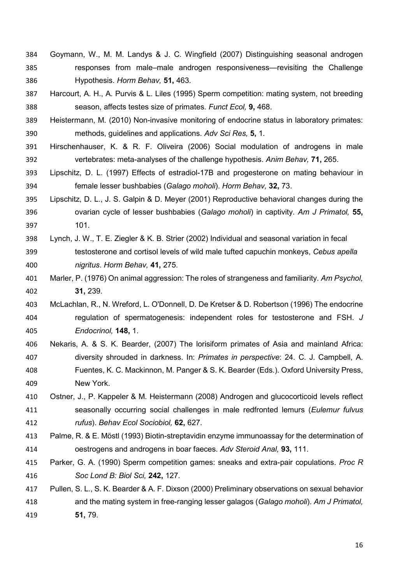- Goymann, W., M. M. Landys & J. C. Wingfield (2007) Distinguishing seasonal androgen responses from male–male androgen responsiveness—revisiting the Challenge Hypothesis. *Horm Behav,* **51,** 463.
- Harcourt, A. H., A. Purvis & L. Liles (1995) Sperm competition: mating system, not breeding season, affects testes size of primates. *Funct Ecol,* **9,** 468.
- Heistermann, M. (2010) Non-invasive monitoring of endocrine status in laboratory primates: methods, guidelines and applications. *Adv Sci Res,* **5,** 1.
- Hirschenhauser, K. & R. F. Oliveira (2006) Social modulation of androgens in male vertebrates: meta-analyses of the challenge hypothesis. *Anim Behav,* **71,** 265.
- Lipschitz, D. L. (1997) Effects of estradiol-17B and progesterone on mating behaviour in female lesser bushbabies (*Galago moholi*). *Horm Behav,* **32,** 73.
- Lipschitz, D. L., J. S. Galpin & D. Meyer (2001) Reproductive behavioral changes during the ovarian cycle of lesser bushbabies (*Galago moholi*) in captivity. *Am J Primatol,* **55,** 101.
- Lynch, J. W., T. E. Ziegler & K. B. Strier (2002) Individual and seasonal variation in fecal testosterone and cortisol levels of wild male tufted capuchin monkeys, *Cebus apella nigritus*. *Horm Behav,* **41,** 275.
- Marler, P. (1976) On animal aggression: The roles of strangeness and familiarity. *Am Psychol,* **31,** 239.
- McLachlan, R., N. Wreford, L. O'Donnell, D. De Kretser & D. Robertson (1996) The endocrine regulation of spermatogenesis: independent roles for testosterone and FSH. *J Endocrinol,* **148,** 1.
- Nekaris, A. & S. K. Bearder, (2007) The lorisiform primates of Asia and mainland Africa: diversity shrouded in darkness. In: *Primates in perspective*: 24*.* C. J. Campbell, A. Fuentes, K. C. Mackinnon, M. Panger & S. K. Bearder (Eds.). Oxford University Press, New York.
- Ostner, J., P. Kappeler & M. Heistermann (2008) Androgen and glucocorticoid levels reflect seasonally occurring social challenges in male redfronted lemurs (*Eulemur fulvus rufus*). *Behav Ecol Sociobiol,* **62,** 627.
- Palme, R. & E. Möstl (1993) Biotin-streptavidin enzyme immunoassay for the determination of oestrogens and androgens in boar faeces. *Adv Steroid Anal,* **93,** 111.
- Parker, G. A. (1990) Sperm competition games: sneaks and extra-pair copulations. *Proc R Soc Lond B: Biol Sci,* **242,** 127.

# Pullen, S. L., S. K. Bearder & A. F. Dixson (2000) Preliminary observations on sexual behavior and the mating system in free-ranging lesser galagos (*Galago moholi*). *Am J Primatol,* **51,** 79.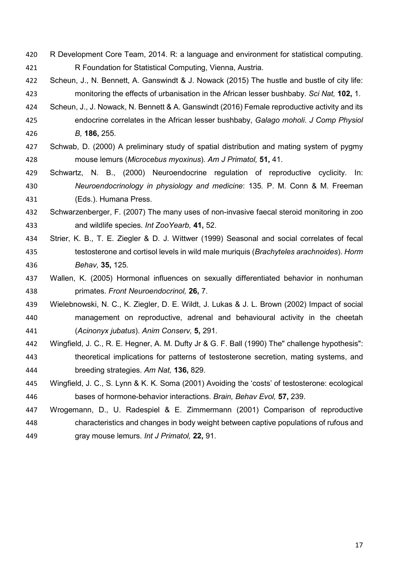- R Development Core Team, 2014. R: a language and environment for statistical computing. R Foundation for Statistical Computing, Vienna, Austria.
- Scheun, J., N. Bennett, A. Ganswindt & J. Nowack (2015) The hustle and bustle of city life: monitoring the effects of urbanisation in the African lesser bushbaby. *Sci Nat,* **102,** 1.
- Scheun, J., J. Nowack, N. Bennett & A. Ganswindt (2016) Female reproductive activity and its endocrine correlates in the African lesser bushbaby, *Galago moholi*. *J Comp Physiol B,* **186,** 255.
- Schwab, D. (2000) A preliminary study of spatial distribution and mating system of pygmy mouse lemurs (*Microcebus myoxinus*). *Am J Primatol,* **51,** 41.
- Schwartz, N. B., (2000) Neuroendocrine regulation of reproductive cyclicity. In: *Neuroendocrinology in physiology and medicine*: 135*.* P. M. Conn & M. Freeman (Eds.). Humana Press.
- Schwarzenberger, F. (2007) The many uses of non-invasive faecal steroid monitoring in zoo and wildlife species. *Int ZooYearb,* **41,** 52.
- Strier, K. B., T. E. Ziegler & D. J. Wittwer (1999) Seasonal and social correlates of fecal testosterone and cortisol levels in wild male muriquis (*Brachyteles arachnoides*). *Horm Behav,* **35,** 125.
- Wallen, K. (2005) Hormonal influences on sexually differentiated behavior in nonhuman primates. *Front Neuroendocrinol,* **26,** 7.
- Wielebnowski, N. C., K. Ziegler, D. E. Wildt, J. Lukas & J. L. Brown (2002) Impact of social management on reproductive, adrenal and behavioural activity in the cheetah (*Acinonyx jubatus*). *Anim Conserv,* **5,** 291.
- Wingfield, J. C., R. E. Hegner, A. M. Dufty Jr & G. F. Ball (1990) The" challenge hypothesis": theoretical implications for patterns of testosterone secretion, mating systems, and breeding strategies. *Am Nat,* **136,** 829.
- Wingfield, J. C., S. Lynn & K. K. Soma (2001) Avoiding the 'costs' of testosterone: ecological bases of hormone-behavior interactions. *Brain, Behav Evol,* **57,** 239.
- Wrogemann, D., U. Radespiel & E. Zimmermann (2001) Comparison of reproductive characteristics and changes in body weight between captive populations of rufous and gray mouse lemurs. *Int J Primatol,* **22,** 91.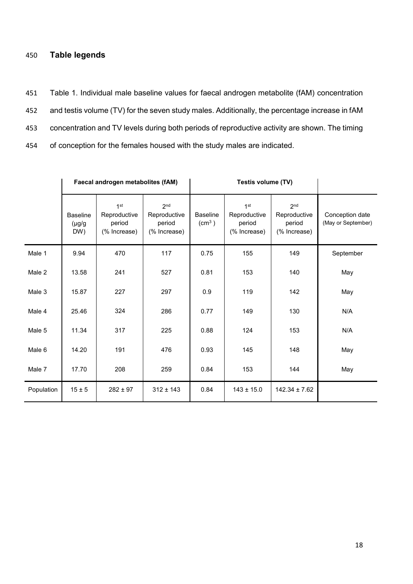# 450 **Table legends**

 Table 1. Individual male baseline values for faecal androgen metabolite (fAM) concentration and testis volume (TV) for the seven study males. Additionally, the percentage increase in fAM concentration and TV levels during both periods of reproductive activity are shown. The timing of conception for the females housed with the study males are indicated.

|            | Faecal androgen metabolites (fAM)     |                                                           |                                                           | Testis volume (TV)                    |                                                           |                                                           |                                       |
|------------|---------------------------------------|-----------------------------------------------------------|-----------------------------------------------------------|---------------------------------------|-----------------------------------------------------------|-----------------------------------------------------------|---------------------------------------|
|            | <b>Baseline</b><br>$(\mu g/g)$<br>DW) | 1 <sup>st</sup><br>Reproductive<br>period<br>(% Increase) | 2 <sup>nd</sup><br>Reproductive<br>period<br>(% Increase) | <b>Baseline</b><br>(cm <sup>3</sup> ) | 1 <sup>st</sup><br>Reproductive<br>period<br>(% Increase) | 2 <sup>nd</sup><br>Reproductive<br>period<br>(% Increase) | Conception date<br>(May or September) |
| Male 1     | 9.94                                  | 470                                                       | 117                                                       | 0.75                                  | 155                                                       | 149                                                       | September                             |
| Male 2     | 13.58                                 | 241                                                       | 527                                                       | 0.81                                  | 153                                                       | 140                                                       | May                                   |
| Male 3     | 15.87                                 | 227                                                       | 297                                                       | 0.9                                   | 119                                                       | 142                                                       | May                                   |
| Male 4     | 25.46                                 | 324                                                       | 286                                                       | 0.77                                  | 149                                                       | 130                                                       | N/A                                   |
| Male 5     | 11.34                                 | 317                                                       | 225                                                       | 0.88                                  | 124                                                       | 153                                                       | N/A                                   |
| Male 6     | 14.20                                 | 191                                                       | 476                                                       | 0.93                                  | 145                                                       | 148                                                       | May                                   |
| Male 7     | 17.70                                 | 208                                                       | 259                                                       | 0.84                                  | 153                                                       | 144                                                       | May                                   |
| Population | $15 \pm 5$                            | $282 \pm 97$                                              | $312 \pm 143$                                             | 0.84                                  | $143 \pm 15.0$                                            | $142.34 \pm 7.62$                                         |                                       |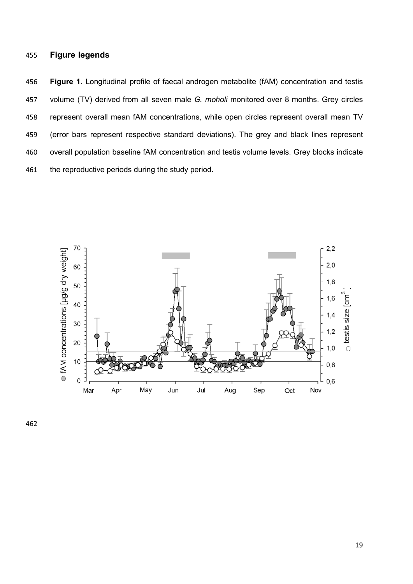# **Figure legends**

 **Figure 1**. Longitudinal profile of faecal androgen metabolite (fAM) concentration and testis volume (TV) derived from all seven male *G. moholi* monitored over 8 months. Grey circles represent overall mean fAM concentrations, while open circles represent overall mean TV (error bars represent respective standard deviations). The grey and black lines represent overall population baseline fAM concentration and testis volume levels. Grey blocks indicate 461 the reproductive periods during the study period.

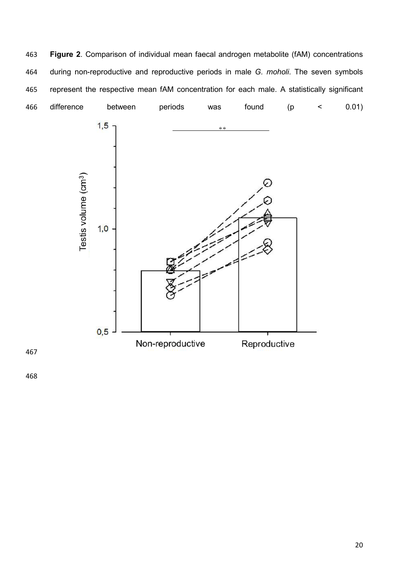**Figure 2**. Comparison of individual mean faecal androgen metabolite (fAM) concentrations during non-reproductive and reproductive periods in male *G. moholi*. The seven symbols represent the respective mean fAM concentration for each male. A statistically significant difference between periods was found (p < 0.01)